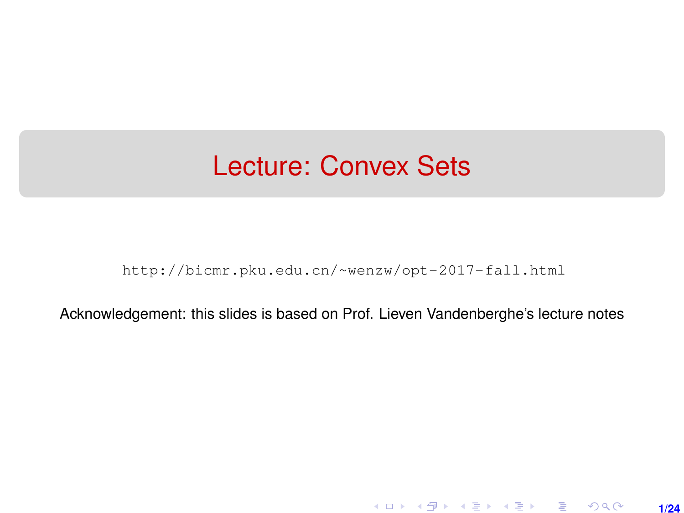## <span id="page-0-0"></span>Lecture: Convex Sets

[http://bicmr.pku.edu.cn/~wenzw/opt-2017-fall.html](http://bicmr.pku.edu.cn/~wenzw/opt-2017-fall.html )

Acknowledgement: this slides is based on Prof. Lieven Vandenberghe's lecture notes

**1/24**

K ロ ▶ K 레 ▶ K 호 ▶ K 호 ▶ → 호 → 900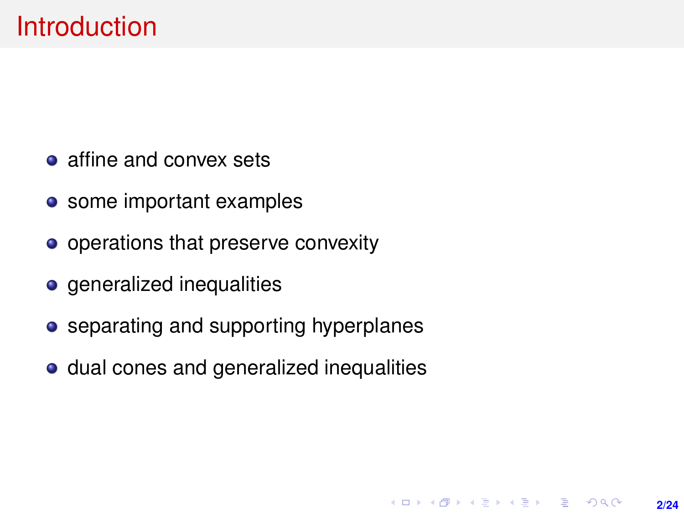- <span id="page-1-0"></span>• affine and convex sets
- some important examples
- operations that preserve convexity
- **o** generalized inequalities
- separating and supporting hyperplanes
- dual cones and generalized inequalities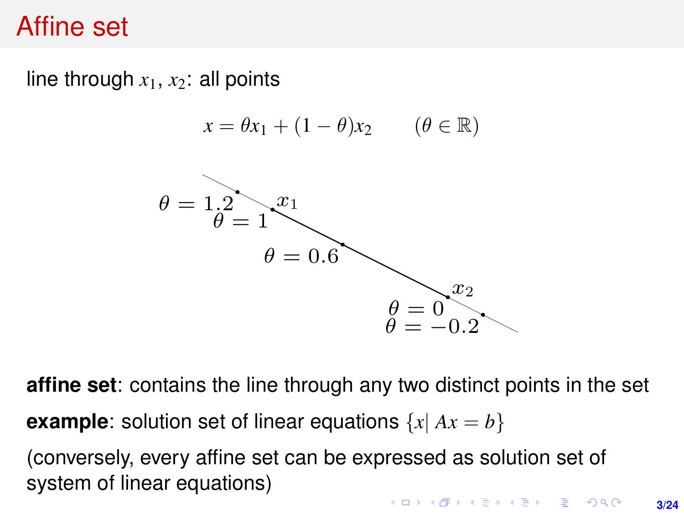## <span id="page-2-0"></span>Affine set

line through  $x_1, x_2$ : all points line through x1, x2: all points

$$
x = \theta x_1 + (1 - \theta)x_2 \qquad (\theta \in \mathbb{R})
$$



affine set: contains the line through any two distinct points in the set **affine set**: contains the line through any two distinct points in the set **example**: solution set of linear equations  $\{x | Ax = b\}$ 

(conversely, every affine set can be expressed as solution set of system of linear equations)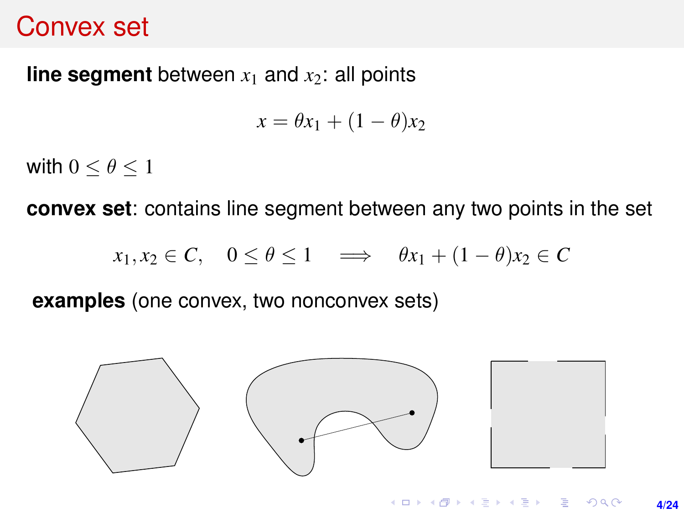#### <span id="page-3-0"></span>Convex set

# **line segment** between  $x_1$  and  $x_2$ : all points

$$
x = \theta x_1 + (1 - \theta)x_2
$$

with  $0 < \theta < 1$  $\text{cosh } \theta \leq \theta \leq 1$ with  $0 \le \theta \le 1$ 

**convex set**: contains line segment between any two points in the set<br> $\frac{1}{2}$ 

$$
x_1, x_2 \in C, \quad 0 \le \theta \le 1 \quad \Longrightarrow \quad \theta x_1 + (1 - \theta)x_2 \in C
$$

**examples** (one convex, two nonconvex sets) examples (one convex, two nonconvex sets) examples (one convex, two nonconvex sets) examples (one convex, two nonconvex sets)

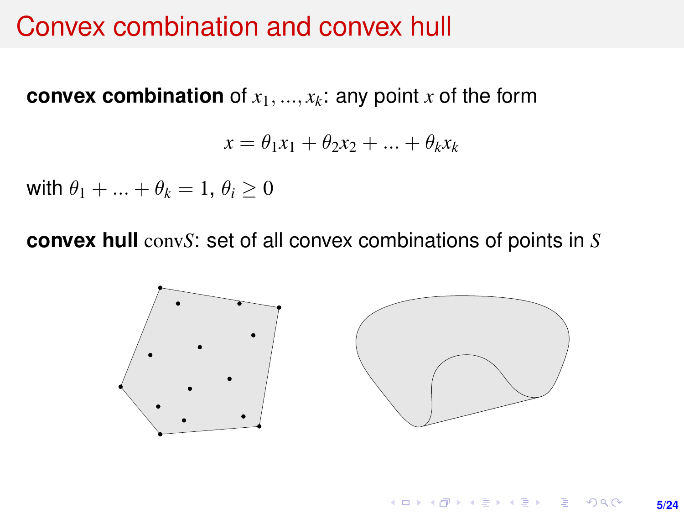# Convex combination and convex hull

**convex combination** of  $x_1, ..., x_k$ : any point  $x$  of the form

$$
x = \theta_1 x_1 + \theta_2 x_2 + \dots + \theta_k x_k
$$

with  $\theta_1 + ... + \theta_k = 1, \theta_i > 0$ WILLE  $\sigma_1 + \ldots + \sigma_k = 1, \sigma_i \geq 0$ 

**convex hull** conv*S*: set of all convex combinations of points in *S*

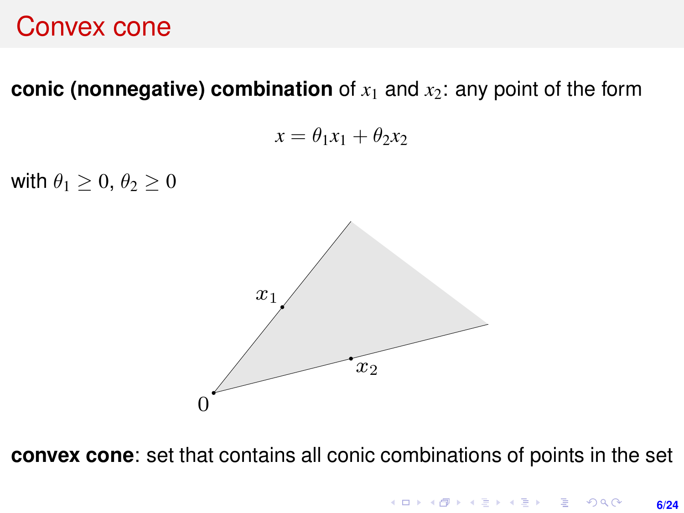# convex cone combination of x1 and x2: any point of x1 any point of x1 any point of x1 any point of the form

**conic (nonnegative) combination** of  $x_1$  and  $x_2$ : any point of the form

$$
x = \theta_1 x_1 + \theta_2 x_2
$$

with  $\theta_1 \geq 0, \theta_2 \geq 0$  $\mathbb{R}^2 \times \mathbb{R}^2 \times \mathbb{R}$ 



convex cone: set that contains all conic combinations of points in the set **convex cone**: set that contains all conic combinations of points in the set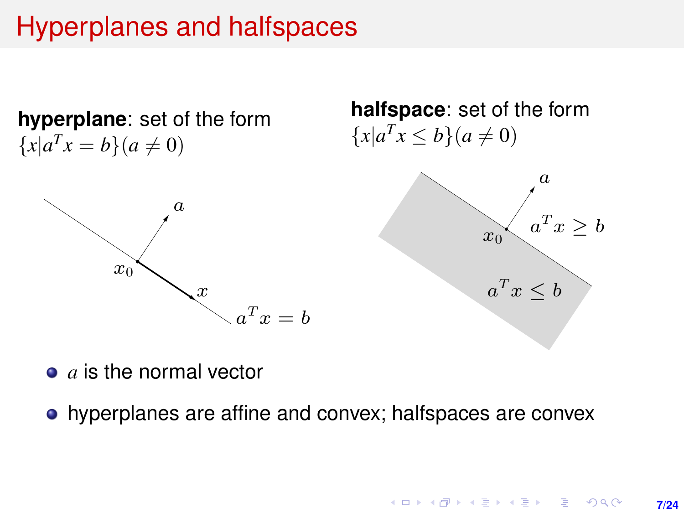## Hyperplanes and halfspaces

 $\alpha$ 

 $\boldsymbol{x}$ 

**hyperplane**: set of the form  ${x | a^T x = b}(a \neq 0)$   ${x | a^T x \le b}$ 

 $x_0$ 





- $\bullet$  *a* is the normal vector
	- a hyperplanes are affine and convex; halfspaces are convex hyperplanes are affine and convex; halfspaces are convex

 $a^T x = b$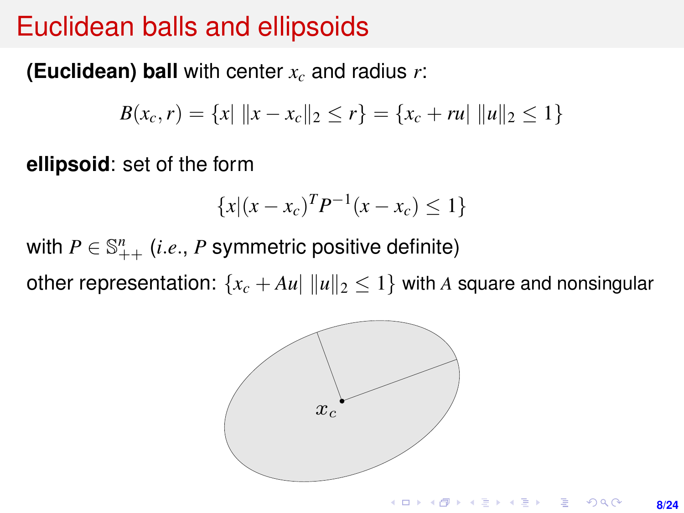# Euclidean balls and ellipsoids

#### **(Euclidean) ball** with center *x<sup>c</sup>* and radius *r*:

$$
B(x_c, r) = \{x \mid ||x - x_c||_2 \le r\} = \{x_c + ru| ||u||_2 \le 1\}
$$

**ellipsoid**: set of the form ellipsoid: set of the form

$$
\{x | (x - x_c)^T P^{-1} (x - x_c) \le 1\}
$$

with  $P \in \mathbb{S}_{++}^n$  (*i.e.*,  $P$  symmetric positive definite)  $\begin{bmatrix} x \\ y \end{bmatrix}$   $\begin{bmatrix} x \\ x \end{bmatrix}$   $\begin{bmatrix} x \\ y \end{bmatrix}$   $\begin{bmatrix} x \\ y \end{bmatrix}$   $\begin{bmatrix} x \\ y \end{bmatrix}$   $\begin{bmatrix} x \\ y \end{bmatrix}$   $\begin{bmatrix} x \\ y \end{bmatrix}$ 

other representation:  $\{x_c + Au \|\|u\|_2 \leq 1\}$  with A square and nonsingular

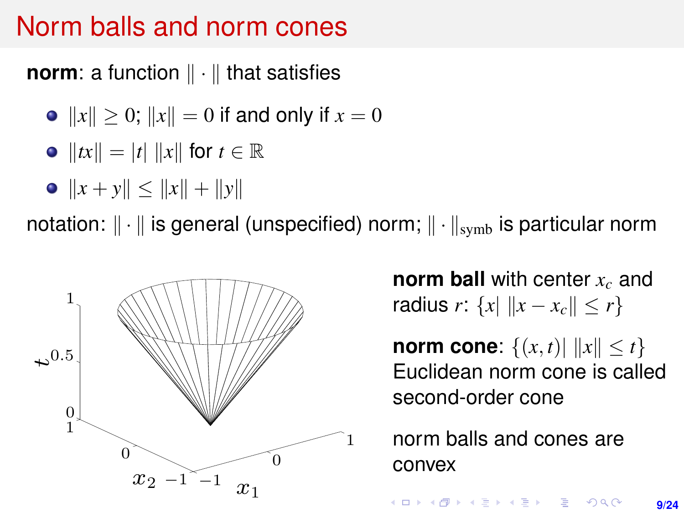#### Norm balls and norm cones  $\mathbb{R}$

**norm**: a function  $\|\cdot\|$  that satisfies

- $||x|| \ge 0$ ;  $||x|| = 0$  if and only if  $x = 0$
- $||tx|| = |t| ||x||$  for  $t \in \mathbb{R}$
- $||x + y|| \le ||x|| + ||y||$

notation:  $\|\cdot\|$  is general (unspecified) norm;  $\|\cdot\|_{\text{symb}}$  is particular norm



**norm ball** with center *x<sup>c</sup>* and radius *r*:  $\{x \mid ||x - x_c|| < r\}$ 

**norm cone:**  $\{(x, t) | ||x|| \le t\}$ Euclidean norm cone is called second-order cone

norm balls and cones are convex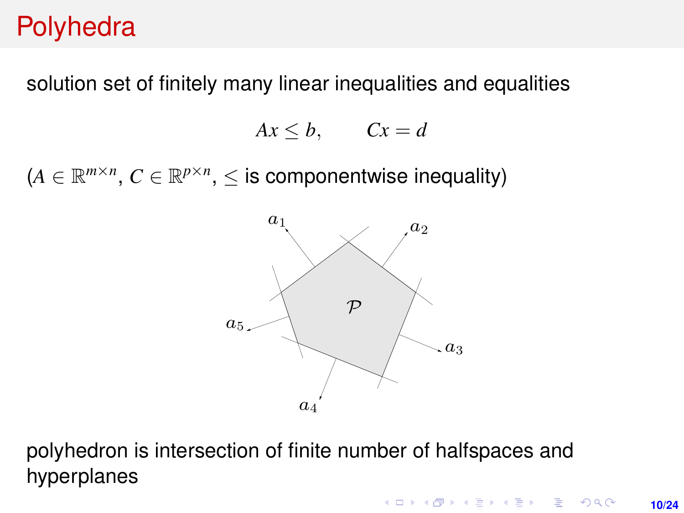## **Polyhedra**

solution set of finitely many linear inequalities and equalities

$$
Ax \leq b, \qquad Cx = d
$$

 $(A \in \mathbb{R}^{m \times n}, C \in \mathbb{R}^{p \times n}, \leq$  is componentwise inequality)



polyhedron is intersection of finite number of halfspaces and hyperplanes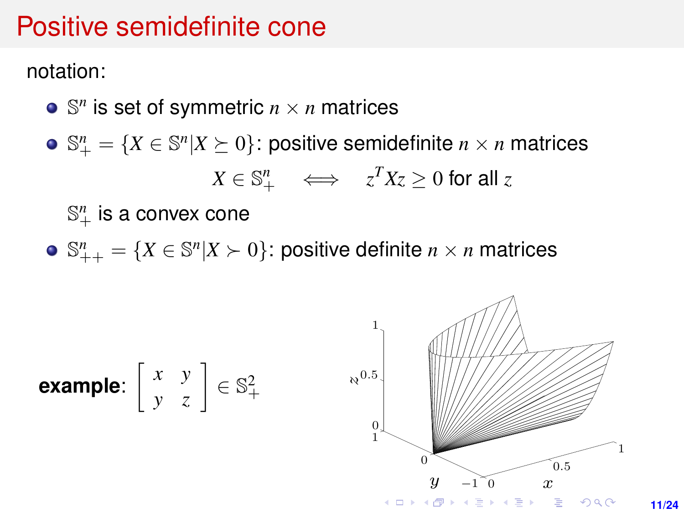# Positive semidefinite cone Positive semidefinite cone

notation: notation:

- $\mathbb{S}^n$  is set of symmetric  $n \times n$  matrices n
- $\mathbb{S}^n_+ = \{X \in \mathbb{S}^n | X \succeq 0\}$ : positive semidefinite  $n \times n$  matrices  $X \in \mathbb{S}^n_+$   $\iff$   $z^T X z \geq 0$  for all  $z$  $\mathbb{S}^n = \{X \in \mathbb{S}^n | X \succ 0\}$ : positive semidefinite  $n \times n$  matrices

 $\mathbb{S}^n_+$  is a convex cone

 $\mathbb{S}_{++}^n = \{X \in \mathbb{S}^n | X \succ 0\}$ : positive definite  $n \times n$  matrices

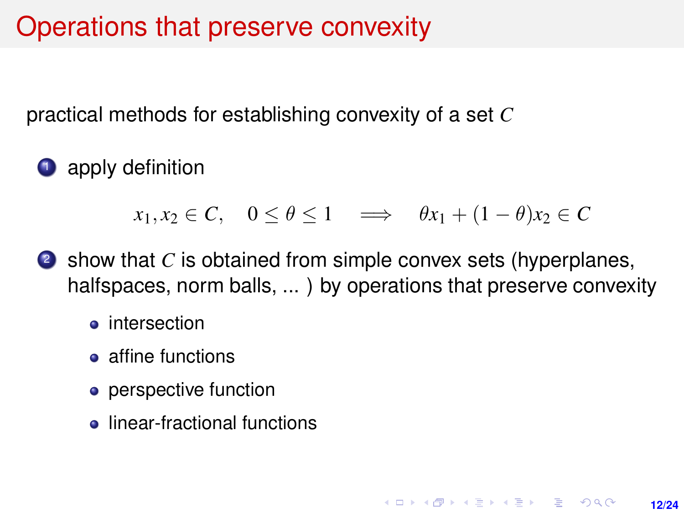## Operations that preserve convexity

practical methods for establishing convexity of a set *C*

**1** apply definition

 $x_1, x_2 \in C$ ,  $0 \le \theta \le 1 \implies \theta x_1 + (1 - \theta)x_2 \in C$ 

- <sup>2</sup> show that *C* is obtained from simple convex sets (hyperplanes, halfspaces, norm balls, ... ) by operations that preserve convexity
	- **o** intersection
	- affine functions
	- perspective function
	- **•** linear-fractional functions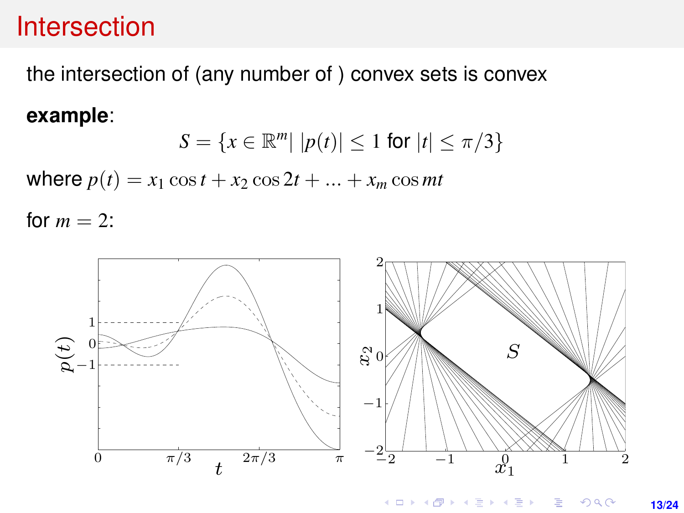# the intersection of (any number of) convex sets is convex sets intersection of (any number of) convex sets is

the intersection of (any number of ) convex sets is convex example:

#### **example**:

$$
S = \{x \in \mathbb{R}^m | |p(t)| \le 1 \text{ for } |t| \le \pi/3\}
$$

where  $p(t) = x_1 \cos t + x_2 \cos 2t + ... + x_m \cos mt$ 

for  $m = 2$ :



 $4$  ロ )  $4$   $6$  )  $4$   $\geq$  )  $4$   $\geq$  )  $2Q$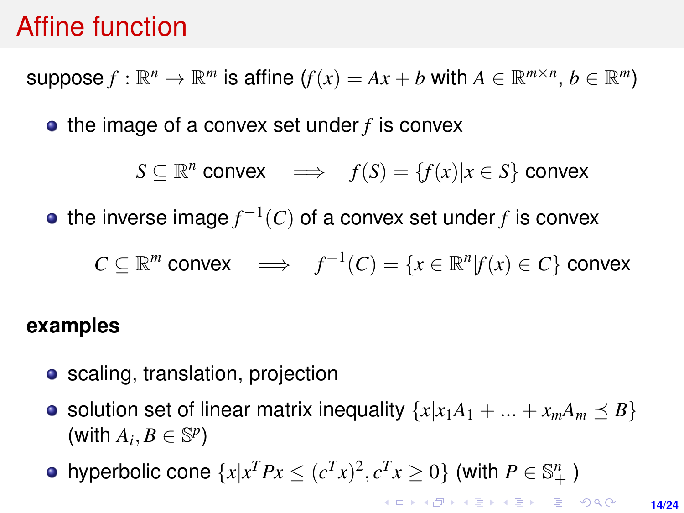## Affine function

 $\mathsf{suppose}\, f : \mathbb{R}^n \to \mathbb{R}^m$  is affine  $(f(x) = Ax + b$  with  $A \in \mathbb{R}^{m \times n},\, b \in \mathbb{R}^m)$ 

• the image of a convex set under *f* is convex

$$
S \subseteq \mathbb{R}^n \text{ convex} \quad \Longrightarrow \quad f(S) = \{f(x) | x \in S\} \text{ convex}
$$

the inverse image $f^{-1}(C)$  of a convex set under $f$  is convex

$$
C \subseteq \mathbb{R}^m \text{ convex} \quad \Longrightarrow \quad f^{-1}(C) = \{x \in \mathbb{R}^n | f(x) \in C\} \text{ convex}
$$

#### **examples**

- scaling, translation, projection
- solution set of linear matrix inequality  $\{x|x_1A_1 + ... + x_mA_m \leq B\}$  $(\text{with } A_i, B \in \mathbb{S}^p)$
- hyperbolic cone  $\{x | x^T P x \le (c^T x)^2, c^T x \ge 0\}$  (with  $P \in \mathbb{S}^n_+$  )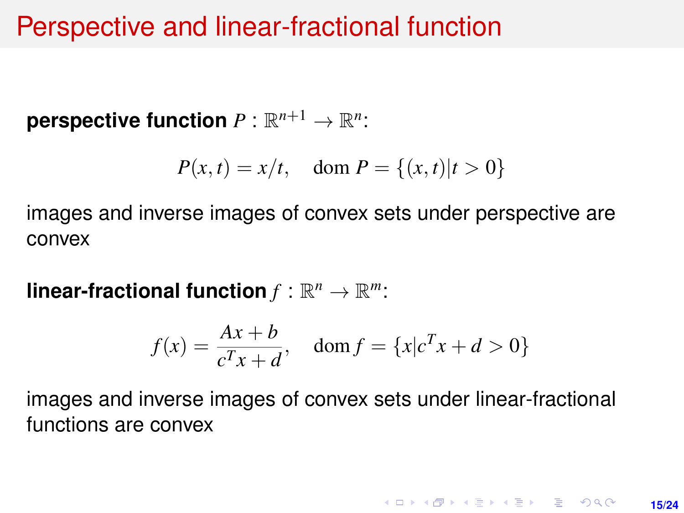### Perspective and linear-fractional function

 $\mathsf{perspective\ function}\ P:\mathbb{R}^{n+1}\to\mathbb{R}^n$ :

$$
P(x,t) = x/t, \quad \text{dom } P = \{(x,t) | t > 0\}
$$

images and inverse images of convex sets under perspective are convex

 ${\sf linear-fractional\ function} f:\mathbb{R}^n\to\mathbb{R}^m$ :

$$
f(x) = \frac{Ax + b}{c^T x + d}, \quad \text{dom } f = \{x | c^T x + d > 0\}
$$

images and inverse images of convex sets under linear-fractional functions are convex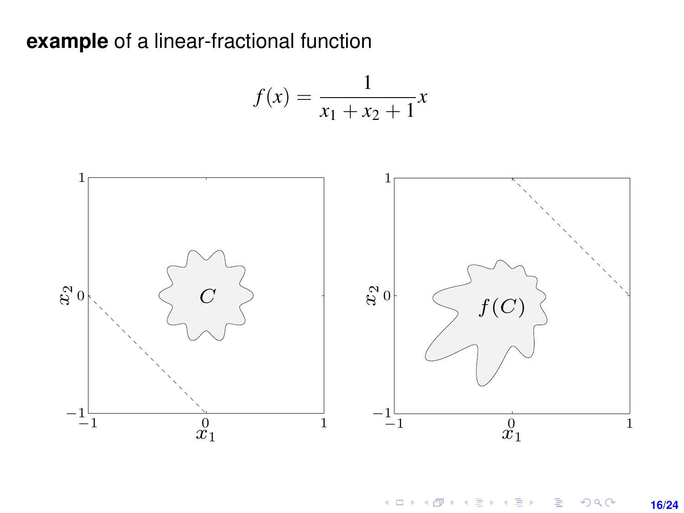#### **example** of a linear-fractional function  $x_1 + x_2 + x_3 + x_4$  $x = 1$

$$
f(x) = \frac{1}{x_1 + x_2 + 1}x
$$



メロトメ 御 トメ 君 トメ 君 トー  $\equiv$  $299$ **16/24**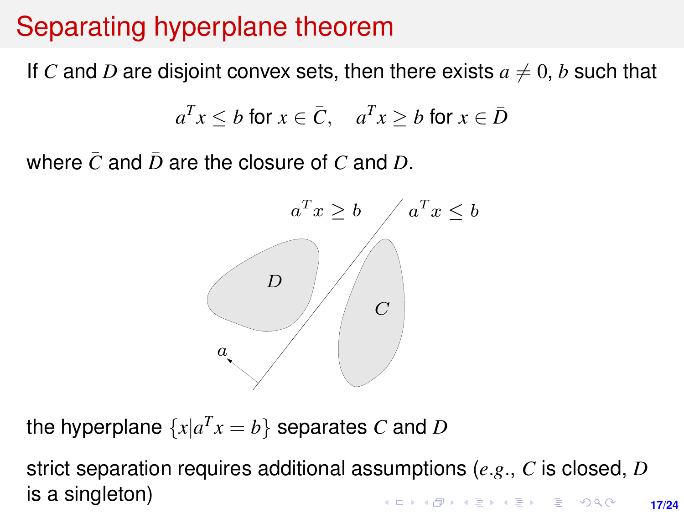# Separating hyperplane theorem Separating hyperplane theorem

If *C* and *D* are disjoint convex sets, then there exists  $a \neq 0$ , *b* such that

$$
a^T x \le b \text{ for } x \in \bar{C}, \quad a^T x \ge b \text{ for } x \in \bar{D}
$$

where  $\bar{C}$  and  $\bar{D}$  are the closure of  $C$  and  $D.$ 



the hyperplane  $\{x | a^T x = b\}$  separates  $C$  and  $D$ 

strict separation requires additional assumptions (e.g., C is closed, D is a strict separation requires additional assumptions (*e*.*g*., *C* is closed, *D* is a singleton) **KORKARK KERKER DRAM 17/24**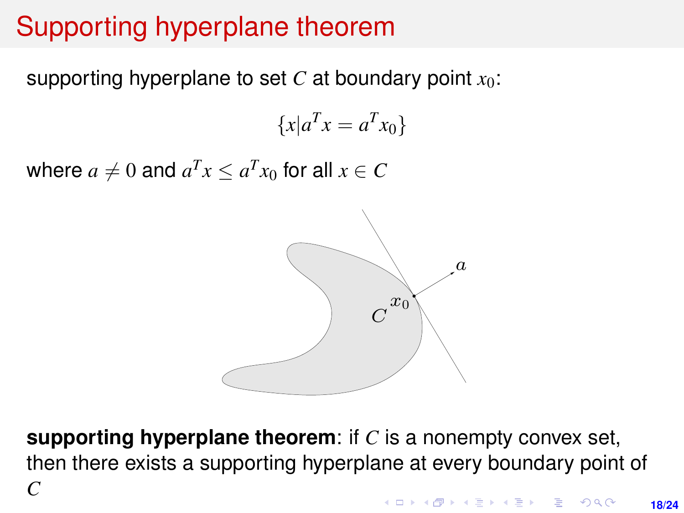# Supporting hyperplane theorem

supporting hyperplane to set  $C$  at boundary point  $x_0$ : supporting hyperplane to set  $C$  at boundary point  $\overline{C}$ 

 ${x \mid a^T x = a^T x_0}$ 

where  $a \neq 0$  and  $a^T x \le a^T x_0$  for all  $x \in C$ 



**supporting hyperplane theorem:** if *C* is a nonempty convex set, then there exists a supporting hyperplane at every boundary point of *C*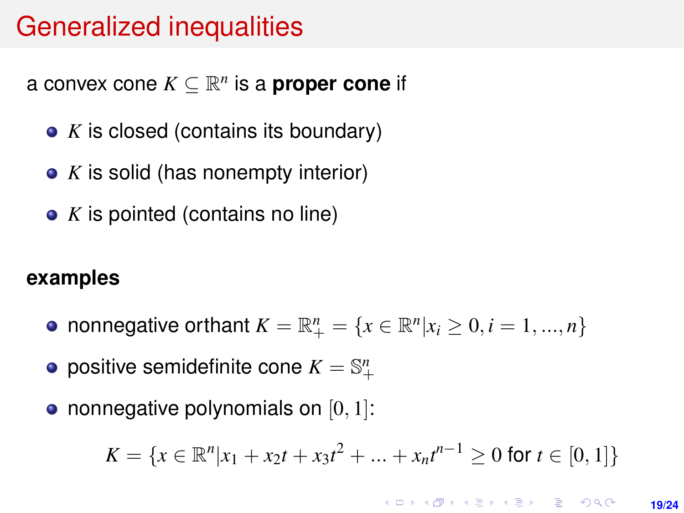### Generalized inequalities

a convex cone  $K \subseteq \mathbb{R}^n$  is a **proper cone** if

- *K* is closed (contains its boundary)
- *K* is solid (has nonempty interior)
- *K* is pointed (contains no line)

#### **examples**

- nonnegative orthant  $K = \mathbb{R}^n_+ = \{x \in \mathbb{R}^n | x_i \ge 0, i = 1, ..., n\}$
- positive semidefinite cone  $K=\mathbb{S}^n_+$
- nonnegative polynomials on  $[0, 1]$ :

$$
K = \{x \in \mathbb{R}^n | x_1 + x_2t + x_3t^2 + \dots + x_nt^{n-1} \ge 0 \text{ for } t \in [0,1]\}
$$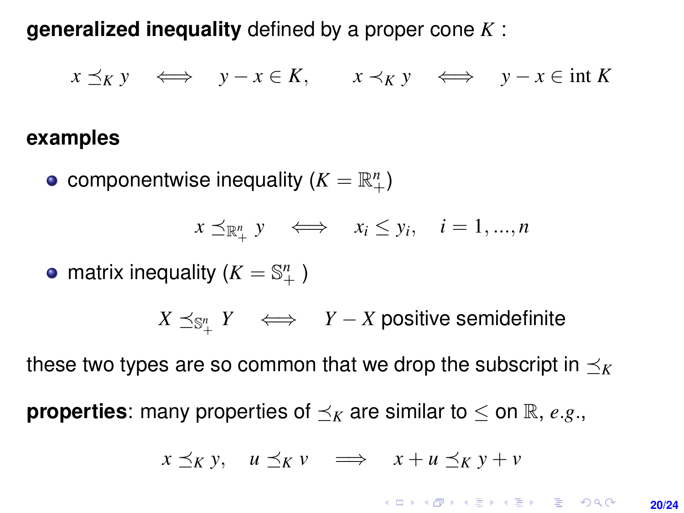**generalized inequality** defined by a proper cone *K* :

 $x \prec_K y \iff y - x \in K$ ,  $x \prec_K y \iff y - x \in \text{int } K$ 

#### **examples**

componentwise inequality  $(K = \mathbb{R}^n_+)$ 

$$
x \preceq_{\mathbb{R}_+^n} y \iff x_i \leq y_i, \quad i = 1, ..., n
$$

matrix inequality ( $K = \mathbb{S}^n_+$ )

 $X \preceq_{\mathbb{S}^n_+} Y \quad \Longleftrightarrow \quad Y-X$  positive semidefinite

these two types are so common that we drop the subscript in  $\prec_K$ 

**properties**: many properties of  $\prec_K$  are similar to  $\leq$  on  $\mathbb{R}$ , *e.g.*,

$$
x \preceq_K y, \quad u \preceq_K v \quad \Longrightarrow \quad x + u \preceq_K y + v
$$

KORKA ARRAIGHT E VOLCH **20/24**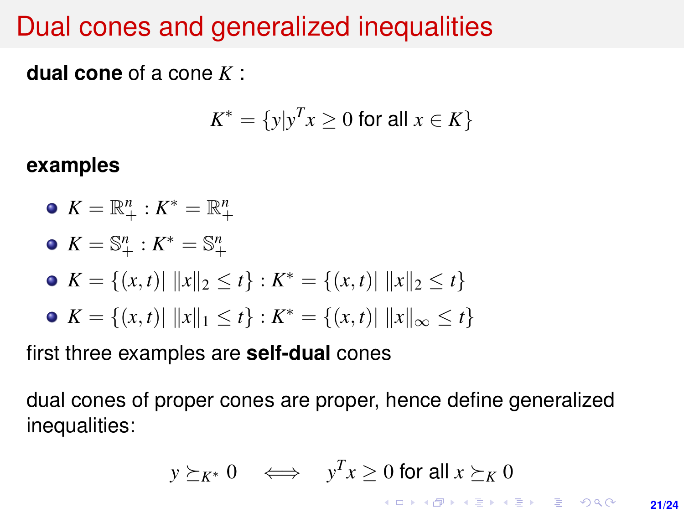## Dual cones and generalized inequalities

**dual cone** of a cone *K* :

$$
K^* = \{y | y^T x \ge 0 \text{ for all } x \in K\}
$$

#### **examples**

$$
\bullet \ \ K = \mathbb{R}^n_+ : K^* = \mathbb{R}^n_+
$$

$$
\bullet \ K = \mathbb{S}^n_+ : K^* = \mathbb{S}^n_+
$$

• 
$$
K = \{(x, t) | ||x||_2 \le t\} : K^* = \{(x, t) | ||x||_2 \le t\}
$$

• 
$$
K = \{(x, t) | ||x||_1 \le t\} : K^* = \{(x, t) | ||x||_{\infty} \le t\}
$$

first three examples are **self-dual** cones

dual cones of proper cones are proper, hence define generalized inequalities:

$$
y \succeq_{K^*} 0 \iff y^T x \ge 0 \text{ for all } x \succeq_K 0
$$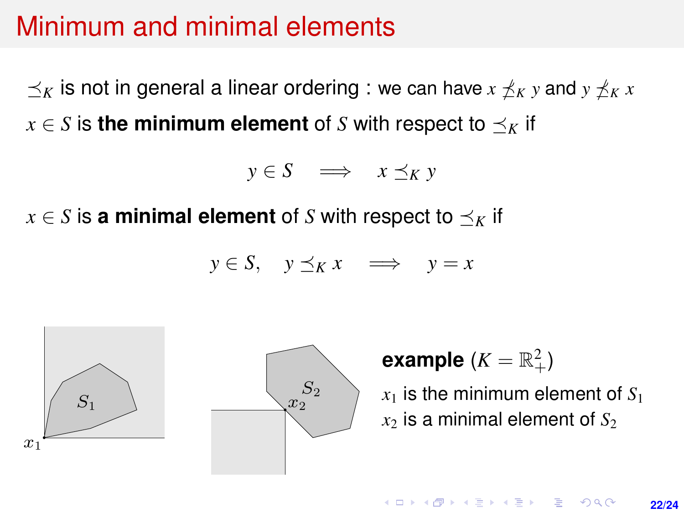#### <span id="page-21-0"></span>Minimum and minimal elements

 $\preceq_K$  is not in general a linear ordering : we can have  $x \npreceq_K y$  and  $y \npreceq_K x$  $x \in S$  is the minimum element of *S* with respect to  $\preceq_K$  if

$$
y \in S \quad \Longrightarrow \quad x \preceq_K y
$$

 $x \in S$  is **a minimal element** of *S* with respect to  $\preceq_K$  if

$$
y \in S, \quad y \preceq_K x \quad \Longrightarrow \quad y = x
$$



## **example**  $(K = \mathbb{R}^2_+)$

 $x_1$  is the minimum element of  $S_1$  $x_2$  is a minimal element of  $S_2$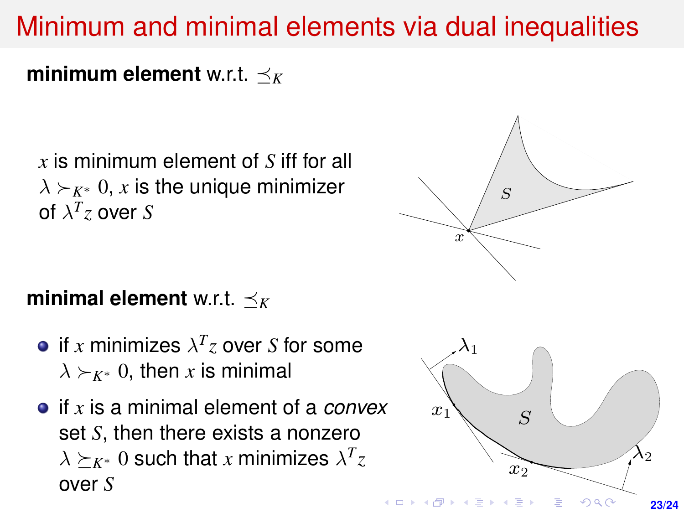## <span id="page-22-0"></span>Minimum and minimal elements via dual inequalities

**minimum element** w.r.t.  $\prec_K$  $\mathbf{M}$  and  $\mathbf{M}$  and  $\mathbf{M}$  in  $\mathbf{M}$  $\mathbf{M}$  , and minimal inequalities via dual inequalities via dual inequalities via dual inequalities via dual inequalities via dual inequalities via dual interpretation of the state of the state of the state of the state

 $x$  is minimum element of  $S$  iff for all  $\Bigg/$  $\lambda$  ≻<sub>K<sup>∗</sup></sub> 0, *x* is the unique minimizer  $\lambda$  / s of  $\lambda^T z$  over  $S$ T

# $\textbf{minimal element}$  w.r.t.  $\preceq_K$

- $\lambda \succ_{K^*} 0$ , then *x* is minimal if  $x$  minimizes  $\lambda^T z$  over  $S$  for some
- set *S*, then there exists a nonzero if *x* is a minimal element of a *convex*  $\lambda \succeq_{K^*} 0$  such that *x* minimizes  $\lambda^T z$ over *S*